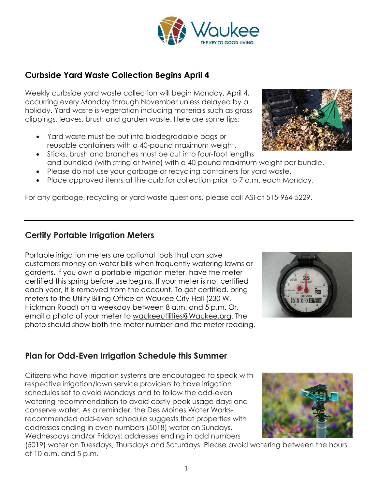## (5019) water on Tuesdays, Thursdays and Saturdays. Please avoid watering between the hours of 10 a.m. and 5 p.m.

# clippings, leaves, brush and garden waste. Here are some tips:

**Curbside Yard Waste Collection Begins April 4**

• Yard waste must be put into biodegradable bags or reusable containers with a 40-pound maximum weight.

Weekly curbside yard waste collection will begin Monday, April 4, occurring every Monday through November unless delayed by a holiday. Yard waste is vegetation including materials such as grass

- Sticks, brush and branches must be cut into four-foot lengths and bundled (with string or twine) with a 40-pound maximum weight per bundle.
- Please do not use your garbage or recycling containers for yard waste.
- Place approved items at the curb for collection prior to 7 a.m. each Monday.

For any garbage, recycling or yard waste questions, please call ASI at 515-964-5229.

#### **Certify Portable Irrigation Meters**

Portable irrigation meters are optional tools that can save customers money on water bills when frequently watering lawns or gardens. If you own a portable irrigation meter, have the meter certified this spring before use begins. If your meter is not certified each year, it is removed from the account. To get certified, bring meters to the Utility Billing Office at Waukee City Hall (230 W. Hickman Road) on a weekday between 8 a.m. and 5 p.m. Or, email a photo of your meter to [waukeeutilities@Waukee.org.](mailto:waukeeutilities@Waukee.org) The photo should show both the meter number and the meter reading.

## **Plan for Odd-Even Irrigation Schedule this Summer**

Citizens who have irrigation systems are encouraged to speak with respective irrigation/lawn service providers to have irrigation schedules set to avoid Mondays and to follow the odd-even watering recommendation to avoid costly peak usage days and conserve water. As a reminder, the Des Moines Water Worksrecommended odd-even schedule suggests that properties with addresses ending in even numbers (5018) water on Sundays, Wednesdays and/or Fridays; addresses ending in odd numbers